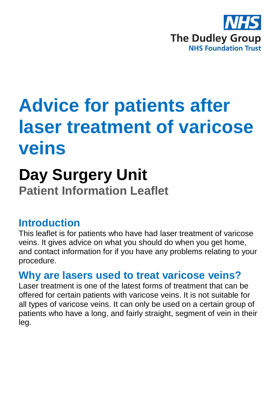

# **Advice for patients after laser treatment of varicose veins**

# **Day Surgery Unit Patient Information Leaflet**

#### **Introduction**

This leaflet is for patients who have had laser treatment of varicose veins. It gives advice on what you should do when you get home, and contact information for if you have any problems relating to your procedure.

#### **Why are lasers used to treat varicose veins?**

Laser treatment is one of the latest forms of treatment that can be offered for certain patients with varicose veins. It is not suitable for all types of varicose veins. It can only be used on a certain group of patients who have a long, and fairly straight, segment of vein in their leg.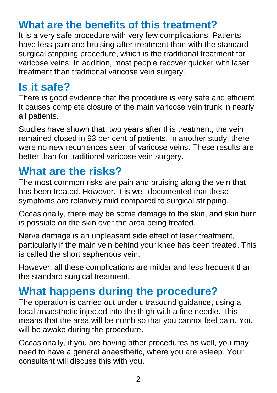#### **What are the benefits of this treatment?**

It is a very safe procedure with very few complications. Patients have less pain and bruising after treatment than with the standard surgical stripping procedure, which is the traditional treatment for varicose veins. In addition, most people recover quicker with laser treatment than traditional varicose vein surgery.

# **Is it safe?**

There is good evidence that the procedure is very safe and efficient. It causes complete closure of the main varicose vein trunk in nearly all patients.

Studies have shown that, two years after this treatment, the vein remained closed in 93 per cent of patients. In another study, there were no new recurrences seen of varicose veins. These results are better than for traditional varicose vein surgery.

## **What are the risks?**

The most common risks are pain and bruising along the vein that has been treated. However, it is well documented that these symptoms are relatively mild compared to surgical stripping.

Occasionally, there may be some damage to the skin, and skin burn is possible on the skin over the area being treated.

Nerve damage is an unpleasant side effect of laser treatment, particularly if the main vein behind your knee has been treated. This is called the short saphenous vein.

However, all these complications are milder and less frequent than the standard surgical treatment.

# **What happens during the procedure?**

The operation is carried out under ultrasound guidance, using a local anaesthetic injected into the thigh with a fine needle. This means that the area will be numb so that you cannot feel pain. You will be awake during the procedure.

Occasionally, if you are having other procedures as well, you may need to have a general anaesthetic, where you are asleep. Your consultant will discuss this with you.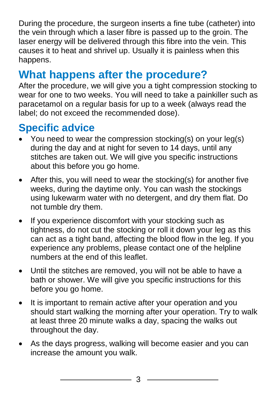During the procedure, the surgeon inserts a fine tube (catheter) into the vein through which a laser fibre is passed up to the groin. The laser energy will be delivered through this fibre into the vein. This causes it to heat and shrivel up. Usually it is painless when this happens.

# **What happens after the procedure?**

After the procedure, we will give you a tight compression stocking to wear for one to two weeks. You will need to take a painkiller such as paracetamol on a regular basis for up to a week (always read the label; do not exceed the recommended dose).

## **Specific advice**

- You need to wear the compression stocking(s) on your leg(s) during the day and at night for seven to 14 days, until any stitches are taken out. We will give you specific instructions about this before you go home.
- After this, you will need to wear the stocking(s) for another five weeks, during the daytime only. You can wash the stockings using lukewarm water with no detergent, and dry them flat. Do not tumble dry them.
- If you experience discomfort with your stocking such as tightness, do not cut the stocking or roll it down your leg as this can act as a tight band, affecting the blood flow in the leg. If you experience any problems, please contact one of the helpline numbers at the end of this leaflet.
- Until the stitches are removed, you will not be able to have a bath or shower. We will give you specific instructions for this before you go home.
- It is important to remain active after your operation and you should start walking the morning after your operation. Try to walk at least three 20 minute walks a day, spacing the walks out throughout the day.
- As the days progress, walking will become easier and you can increase the amount you walk.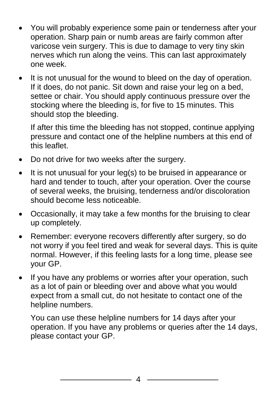- You will probably experience some pain or tenderness after your operation. Sharp pain or numb areas are fairly common after varicose vein surgery. This is due to damage to very tiny skin nerves which run along the veins. This can last approximately one week.
- It is not unusual for the wound to bleed on the day of operation. If it does, do not panic. Sit down and raise your leg on a bed, settee or chair. You should apply continuous pressure over the stocking where the bleeding is, for five to 15 minutes. This should stop the bleeding.

If after this time the bleeding has not stopped, continue applying pressure and contact one of the helpline numbers at this end of this leaflet.

- Do not drive for two weeks after the surgery.
- $\bullet$  It is not unusual for your leg(s) to be bruised in appearance or hard and tender to touch, after your operation. Over the course of several weeks, the bruising, tenderness and/or discoloration should become less noticeable.
- Occasionally, it may take a few months for the bruising to clear up completely.
- Remember: everyone recovers differently after surgery, so do not worry if you feel tired and weak for several days. This is quite normal. However, if this feeling lasts for a long time, please see your GP.
- If you have any problems or worries after your operation, such as a lot of pain or bleeding over and above what you would expect from a small cut, do not hesitate to contact one of the helpline numbers.

You can use these helpline numbers for 14 days after your operation. If you have any problems or queries after the 14 days, please contact your GP.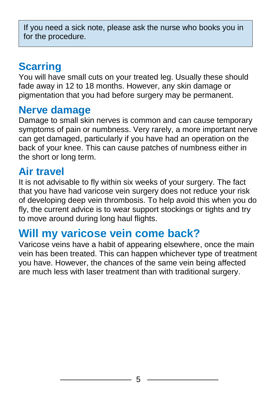If you need a sick note, please ask the nurse who books you in for the procedure.

### **Scarring**

You will have small cuts on your treated leg. Usually these should fade away in 12 to 18 months. However, any skin damage or pigmentation that you had before surgery may be permanent.

#### **Nerve damage**

Damage to small skin nerves is common and can cause temporary symptoms of pain or numbness. Very rarely, a more important nerve can get damaged, particularly if you have had an operation on the back of your knee. This can cause patches of numbness either in the short or long term.

#### **Air travel**

It is not advisable to fly within six weeks of your surgery. The fact that you have had varicose vein surgery does not reduce your risk of developing deep vein thrombosis. To help avoid this when you do fly, the current advice is to wear support stockings or tights and try to move around during long haul flights.

### **Will my varicose vein come back?**

Varicose veins have a habit of appearing elsewhere, once the main vein has been treated. This can happen whichever type of treatment you have. However, the chances of the same vein being affected are much less with laser treatment than with traditional surgery.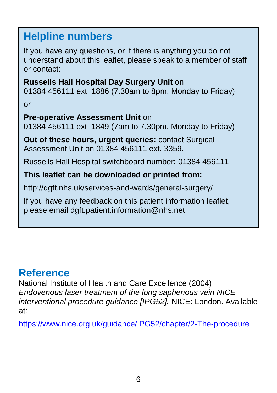#### **Helpline numbers**

If you have any questions, or if there is anything you do not understand about this leaflet, please speak to a member of staff or contact:

#### **Russells Hall Hospital Day Surgery Unit** on

01384 456111 ext. 1886 (7.30am to 8pm, Monday to Friday)

or

#### **Pre-operative Assessment Unit** on

01384 456111 ext. 1849 (7am to 7.30pm, Monday to Friday)

**Out of these hours, urgent queries:** contact Surgical Assessment Unit on 01384 456111 ext. 3359.

Russells Hall Hospital switchboard number: 01384 456111

#### **This leaflet can be downloaded or printed from:**

http://dgft.nhs.uk/services-and-wards/general-surgery/

If you have any feedback on this patient information leaflet, please email dgft.patient.information@nhs.net

#### **Reference**

National Institute of Health and Care Excellence (2004) *Endovenous laser treatment of the long saphenous vein NICE interventional procedure guidance [IPG52].* NICE: London. Available at:

<https://www.nice.org.uk/guidance/IPG52/chapter/2-The-procedure>